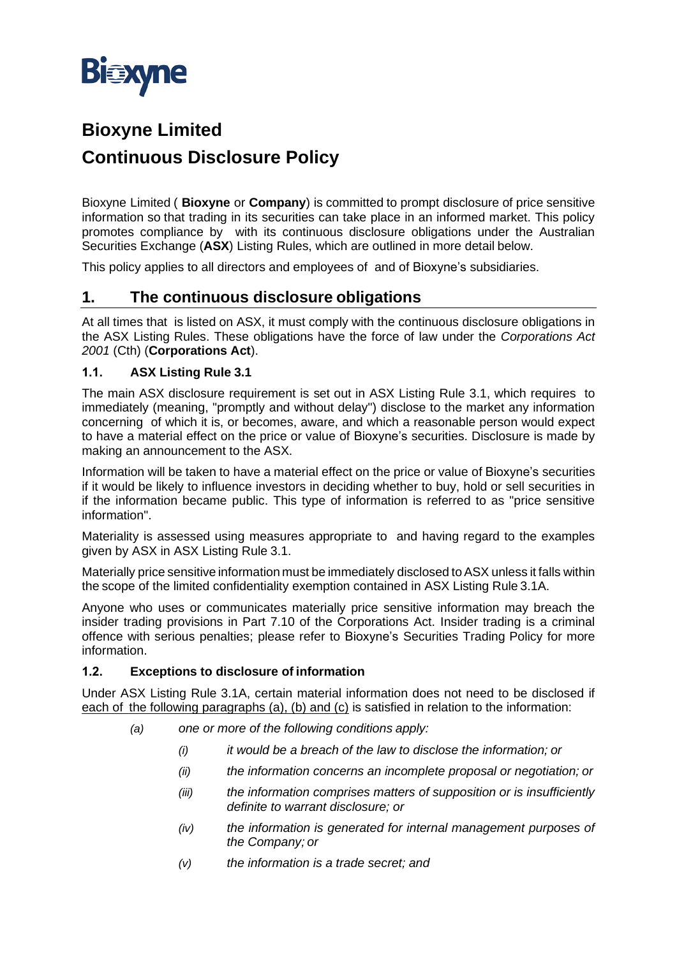

# **Bioxyne Limited Continuous Disclosure Policy**

Bioxyne Limited ( **Bioxyne** or **Company**) is committed to prompt disclosure of price sensitive information so that trading in its securities can take place in an informed market. This policy promotes compliance by with its continuous disclosure obligations under the Australian Securities Exchange (**ASX**) Listing Rules, which are outlined in more detail below.

This policy applies to all directors and employees of and of Bioxyne's subsidiaries.

### **1. The continuous disclosure obligations**

At all times that is listed on ASX, it must comply with the continuous disclosure obligations in the ASX Listing Rules. These obligations have the force of law under the *Corporations Act 2001* (Cth) (**Corporations Act**).

#### **1.1. ASX Listing Rule 3.1**

The main ASX disclosure requirement is set out in ASX Listing Rule 3.1, which requires to immediately (meaning, "promptly and without delay") disclose to the market any information concerning of which it is, or becomes, aware, and which a reasonable person would expect to have a material effect on the price or value of Bioxyne's securities. Disclosure is made by making an announcement to the ASX.

Information will be taken to have a material effect on the price or value of Bioxyne's securities if it would be likely to influence investors in deciding whether to buy, hold or sell securities in if the information became public. This type of information is referred to as "price sensitive information".

Materiality is assessed using measures appropriate to and having regard to the examples given by ASX in ASX Listing Rule 3.1.

Materially price sensitive information must be immediately disclosed to ASX unless it falls within the scope of the limited confidentiality exemption contained in ASX Listing Rule 3.1A.

Anyone who uses or communicates materially price sensitive information may breach the insider trading provisions in Part 7.10 of the Corporations Act. Insider trading is a criminal offence with serious penalties; please refer to Bioxyne's Securities Trading Policy for more information.

#### **1.2. Exceptions to disclosure of information**

Under ASX Listing Rule 3.1A, certain material information does not need to be disclosed if each of the following paragraphs (a), (b) and (c) is satisfied in relation to the information:

- *(a) one or more of the following conditions apply:*
	- *(i) it would be a breach of the law to disclose the information; or*
	- *(ii) the information concerns an incomplete proposal or negotiation; or*
	- *(iii) the information comprises matters of supposition or is insufficiently definite to warrant disclosure; or*
	- *(iv) the information is generated for internal management purposes of the Company; or*
	- *(v) the information is a trade secret; and*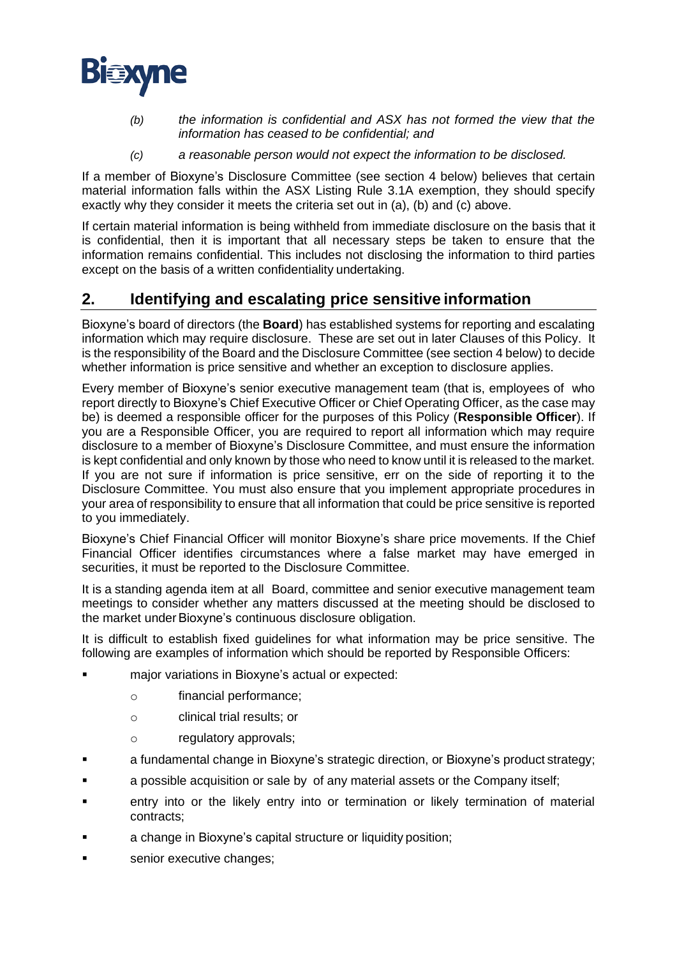

- *(b) the information is confidential and ASX has not formed the view that the information has ceased to be confidential; and*
- *(c) a reasonable person would not expect the information to be disclosed.*

If a member of Bioxyne's Disclosure Committee (see section [4](#page-2-0) below) believes that certain material information falls within the ASX Listing Rule 3.1A exemption, they should specify exactly why they consider it meets the criteria set out in (a), (b) and (c) above.

If certain material information is being withheld from immediate disclosure on the basis that it is confidential, then it is important that all necessary steps be taken to ensure that the information remains confidential. This includes not disclosing the information to third parties except on the basis of a written confidentiality undertaking.

### **2. Identifying and escalating price sensitive information**

Bioxyne's board of directors (the **Board**) has established systems for reporting and escalating information which may require disclosure. These are set out in later Clauses of this Policy. It is the responsibility of the Board and the Disclosure Committee (see section [4](#page-2-0) below) to decide whether information is price sensitive and whether an exception to disclosure applies.

Every member of Bioxyne's senior executive management team (that is, employees of who report directly to Bioxyne's Chief Executive Officer or Chief Operating Officer, as the case may be) is deemed a responsible officer for the purposes of this Policy (**Responsible Officer**). If you are a Responsible Officer, you are required to report all information which may require disclosure to a member of Bioxyne's Disclosure Committee, and must ensure the information is kept confidential and only known by those who need to know until it is released to the market. If you are not sure if information is price sensitive, err on the side of reporting it to the Disclosure Committee. You must also ensure that you implement appropriate procedures in your area of responsibility to ensure that all information that could be price sensitive is reported to you immediately.

Bioxyne's Chief Financial Officer will monitor Bioxyne's share price movements. If the Chief Financial Officer identifies circumstances where a false market may have emerged in securities, it must be reported to the Disclosure Committee.

It is a standing agenda item at all Board, committee and senior executive management team meetings to consider whether any matters discussed at the meeting should be disclosed to the market under Bioxyne's continuous disclosure obligation.

It is difficult to establish fixed guidelines for what information may be price sensitive. The following are examples of information which should be reported by Responsible Officers:

- major variations in Bioxyne's actual or expected:
	- o financial performance;
	- o clinical trial results; or
	- o regulatory approvals;
- a fundamental change in Bioxyne's strategic direction, or Bioxyne's product strategy;
- a possible acquisition or sale by of any material assets or the Company itself;
- entry into or the likely entry into or termination or likely termination of material contracts;
- a change in Bioxyne's capital structure or liquidity position;
- senior executive changes;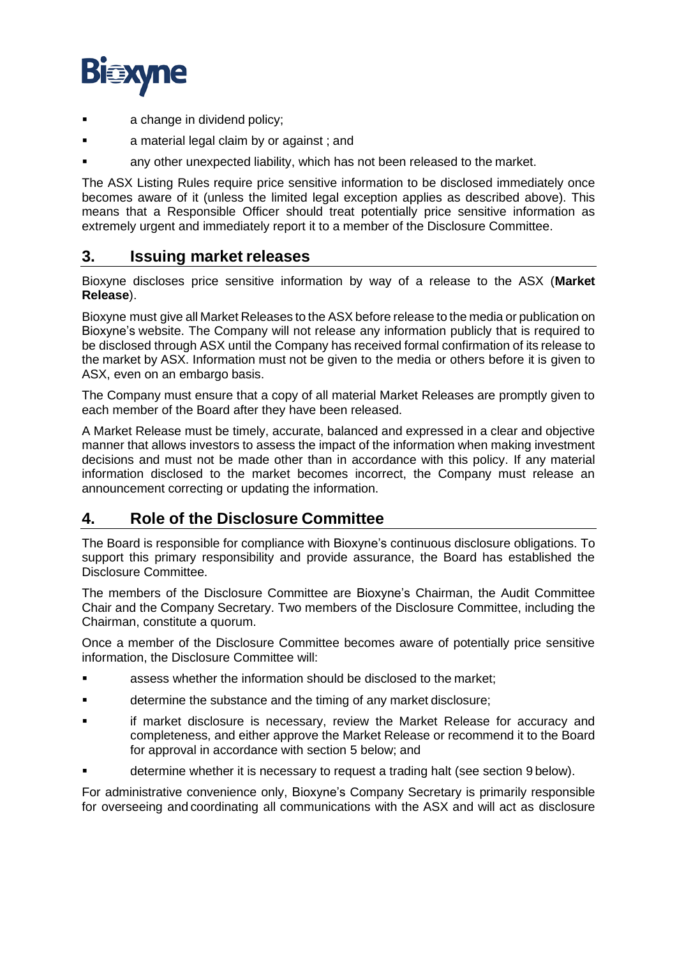

- a change in dividend policy;
- a material legal claim by or against; and
- any other unexpected liability, which has not been released to the market.

The ASX Listing Rules require price sensitive information to be disclosed immediately once becomes aware of it (unless the limited legal exception applies as described above). This means that a Responsible Officer should treat potentially price sensitive information as extremely urgent and immediately report it to a member of the Disclosure Committee.

### **3. Issuing market releases**

Bioxyne discloses price sensitive information by way of a release to the ASX (**Market Release**).

Bioxyne must give all Market Releases to the ASX before release to the media or publication on Bioxyne's website. The Company will not release any information publicly that is required to be disclosed through ASX until the Company has received formal confirmation of its release to the market by ASX. Information must not be given to the media or others before it is given to ASX, even on an embargo basis.

The Company must ensure that a copy of all material Market Releases are promptly given to each member of the Board after they have been released.

A Market Release must be timely, accurate, balanced and expressed in a clear and objective manner that allows investors to assess the impact of the information when making investment decisions and must not be made other than in accordance with this policy. If any material information disclosed to the market becomes incorrect, the Company must release an announcement correcting or updating the information.

### <span id="page-2-0"></span>**4. Role of the Disclosure Committee**

The Board is responsible for compliance with Bioxyne's continuous disclosure obligations. To support this primary responsibility and provide assurance, the Board has established the Disclosure Committee.

The members of the Disclosure Committee are Bioxyne's Chairman, the Audit Committee Chair and the Company Secretary. Two members of the Disclosure Committee, including the Chairman, constitute a quorum.

Once a member of the Disclosure Committee becomes aware of potentially price sensitive information, the Disclosure Committee will:

- assess whether the information should be disclosed to the market;
- determine the substance and the timing of any market disclosure;
- if market disclosure is necessary, review the Market Release for accuracy and completeness, and either approve the Market Release or recommend it to the Board for approval in accordance with section [5](#page-3-0) below; and
- determine whether it is necessary to request a trading halt (see section [9](#page-5-0) below).

For administrative convenience only, Bioxyne's Company Secretary is primarily responsible for overseeing and coordinating all communications with the ASX and will act as disclosure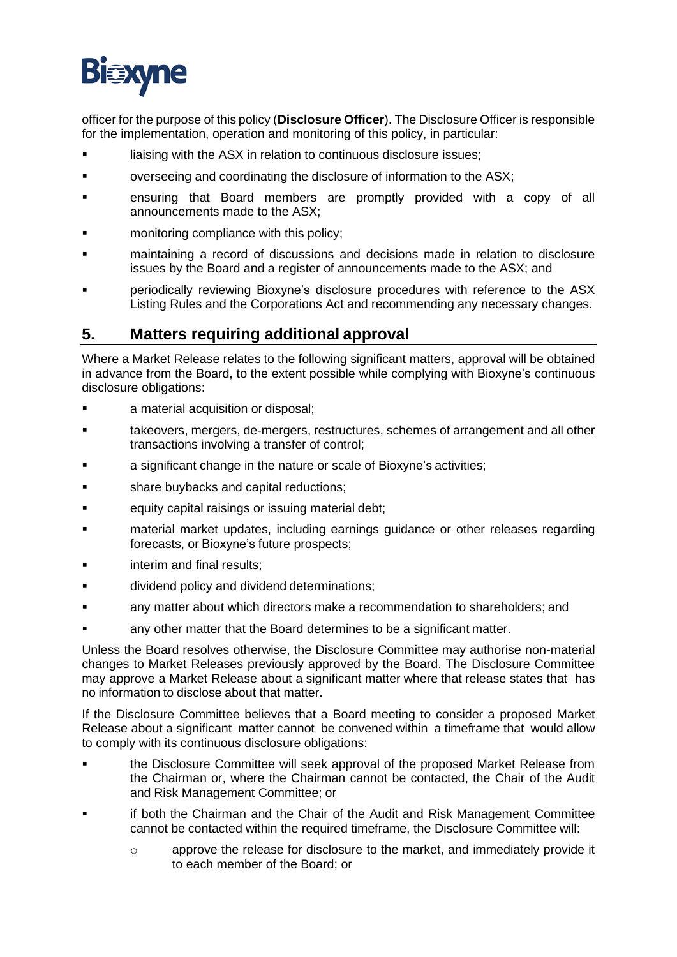

officer for the purpose of this policy (**Disclosure Officer**). The Disclosure Officer is responsible for the implementation, operation and monitoring of this policy, in particular:

- liaising with the ASX in relation to continuous disclosure issues;
- overseeing and coordinating the disclosure of information to the ASX;
- ensuring that Board members are promptly provided with a copy of all announcements made to the ASX;
- monitoring compliance with this policy;
- maintaining a record of discussions and decisions made in relation to disclosure issues by the Board and a register of announcements made to the ASX; and
- periodically reviewing Bioxyne's disclosure procedures with reference to the ASX Listing Rules and the Corporations Act and recommending any necessary changes.

### <span id="page-3-0"></span>**5. Matters requiring additional approval**

Where a Market Release relates to the following significant matters, approval will be obtained in advance from the Board, to the extent possible while complying with Bioxyne's continuous disclosure obligations:

- a material acquisition or disposal;
- takeovers, mergers, de-mergers, restructures, schemes of arrangement and all other transactions involving a transfer of control;
- a significant change in the nature or scale of Bioxyne's activities;
- share buybacks and capital reductions;
- equity capital raisings or issuing material debt;
- material market updates, including earnings guidance or other releases regarding forecasts, or Bioxyne's future prospects;
- interim and final results:
- dividend policy and dividend determinations;
- any matter about which directors make a recommendation to shareholders; and
- any other matter that the Board determines to be a significant matter.

Unless the Board resolves otherwise, the Disclosure Committee may authorise non-material changes to Market Releases previously approved by the Board. The Disclosure Committee may approve a Market Release about a significant matter where that release states that has no information to disclose about that matter.

If the Disclosure Committee believes that a Board meeting to consider a proposed Market Release about a significant matter cannot be convened within a timeframe that would allow to comply with its continuous disclosure obligations:

- the Disclosure Committee will seek approval of the proposed Market Release from the Chairman or, where the Chairman cannot be contacted, the Chair of the Audit and Risk Management Committee; or
- if both the Chairman and the Chair of the Audit and Risk Management Committee cannot be contacted within the required timeframe, the Disclosure Committee will:
	- o approve the release for disclosure to the market, and immediately provide it to each member of the Board; or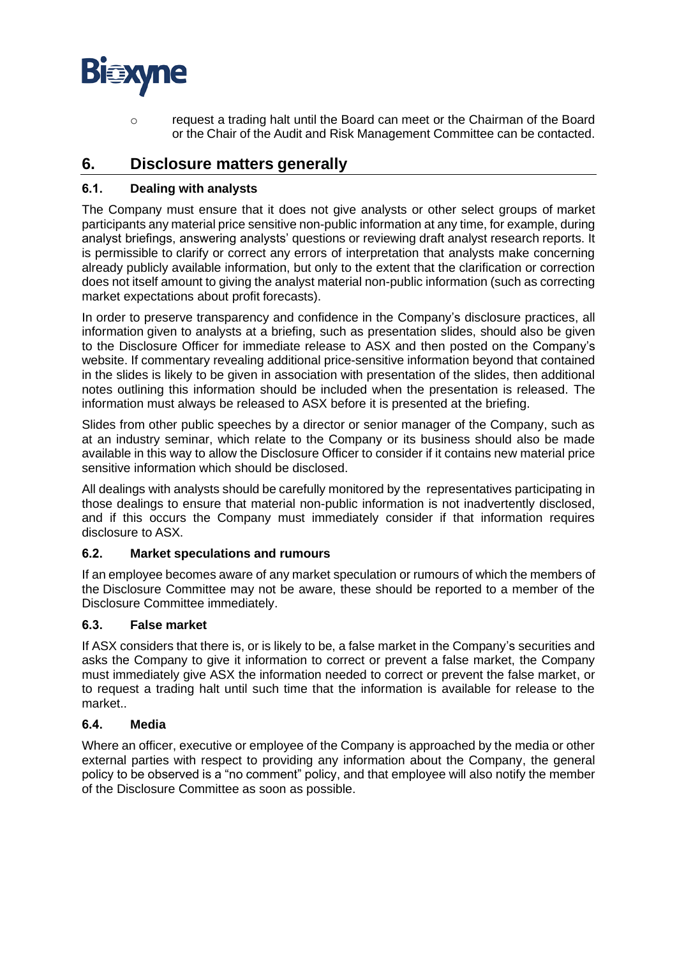

o request a trading halt until the Board can meet or the Chairman of the Board or the Chair of the Audit and Risk Management Committee can be contacted.

### **6. Disclosure matters generally**

#### **6.1. Dealing with analysts**

The Company must ensure that it does not give analysts or other select groups of market participants any material price sensitive non-public information at any time, for example, during analyst briefings, answering analysts' questions or reviewing draft analyst research reports. It is permissible to clarify or correct any errors of interpretation that analysts make concerning already publicly available information, but only to the extent that the clarification or correction does not itself amount to giving the analyst material non-public information (such as correcting market expectations about profit forecasts).

In order to preserve transparency and confidence in the Company's disclosure practices, all information given to analysts at a briefing, such as presentation slides, should also be given to the Disclosure Officer for immediate release to ASX and then posted on the Company's website. If commentary revealing additional price-sensitive information beyond that contained in the slides is likely to be given in association with presentation of the slides, then additional notes outlining this information should be included when the presentation is released. The information must always be released to ASX before it is presented at the briefing.

Slides from other public speeches by a director or senior manager of the Company, such as at an industry seminar, which relate to the Company or its business should also be made available in this way to allow the Disclosure Officer to consider if it contains new material price sensitive information which should be disclosed.

All dealings with analysts should be carefully monitored by the representatives participating in those dealings to ensure that material non-public information is not inadvertently disclosed, and if this occurs the Company must immediately consider if that information requires disclosure to ASX.

#### **6.2. Market speculations and rumours**

If an employee becomes aware of any market speculation or rumours of which the members of the Disclosure Committee may not be aware, these should be reported to a member of the Disclosure Committee immediately.

#### **6.3. False market**

If ASX considers that there is, or is likely to be, a false market in the Company's securities and asks the Company to give it information to correct or prevent a false market, the Company must immediately give ASX the information needed to correct or prevent the false market, or to request a trading halt until such time that the information is available for release to the market..

#### **6.4. Media**

Where an officer, executive or employee of the Company is approached by the media or other external parties with respect to providing any information about the Company, the general policy to be observed is a "no comment" policy, and that employee will also notify the member of the Disclosure Committee as soon as possible.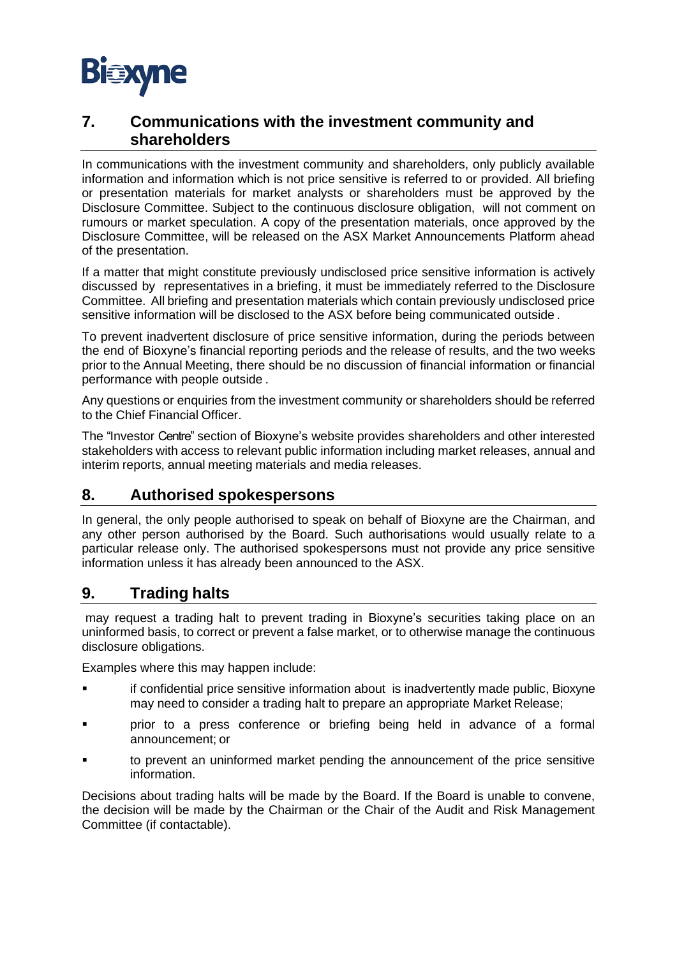

### **7. Communications with the investment community and shareholders**

In communications with the investment community and shareholders, only publicly available information and information which is not price sensitive is referred to or provided. All briefing or presentation materials for market analysts or shareholders must be approved by the Disclosure Committee. Subject to the continuous disclosure obligation, will not comment on rumours or market speculation. A copy of the presentation materials, once approved by the Disclosure Committee, will be released on the ASX Market Announcements Platform ahead of the presentation.

If a matter that might constitute previously undisclosed price sensitive information is actively discussed by representatives in a briefing, it must be immediately referred to the Disclosure Committee. All briefing and presentation materials which contain previously undisclosed price sensitive information will be disclosed to the ASX before being communicated outside .

To prevent inadvertent disclosure of price sensitive information, during the periods between the end of Bioxyne's financial reporting periods and the release of results, and the two weeks prior to the Annual Meeting, there should be no discussion of financial information or financial performance with people outside .

Any questions or enquiries from the investment community or shareholders should be referred to the Chief Financial Officer.

The "Investor Centre" section of Bioxyne's website provides shareholders and other interested stakeholders with access to relevant public information including market releases, annual and interim reports, annual meeting materials and media releases.

### **8. Authorised spokespersons**

In general, the only people authorised to speak on behalf of Bioxyne are the Chairman, and any other person authorised by the Board. Such authorisations would usually relate to a particular release only. The authorised spokespersons must not provide any price sensitive information unless it has already been announced to the ASX.

### <span id="page-5-0"></span>**9. Trading halts**

may request a trading halt to prevent trading in Bioxyne's securities taking place on an uninformed basis, to correct or prevent a false market, or to otherwise manage the continuous disclosure obligations.

Examples where this may happen include:

- if confidential price sensitive information about is inadvertently made public, Bioxyne may need to consider a trading halt to prepare an appropriate Market Release;
- prior to a press conference or briefing being held in advance of a formal announcement; or
- to prevent an uninformed market pending the announcement of the price sensitive information.

Decisions about trading halts will be made by the Board. If the Board is unable to convene, the decision will be made by the Chairman or the Chair of the Audit and Risk Management Committee (if contactable).